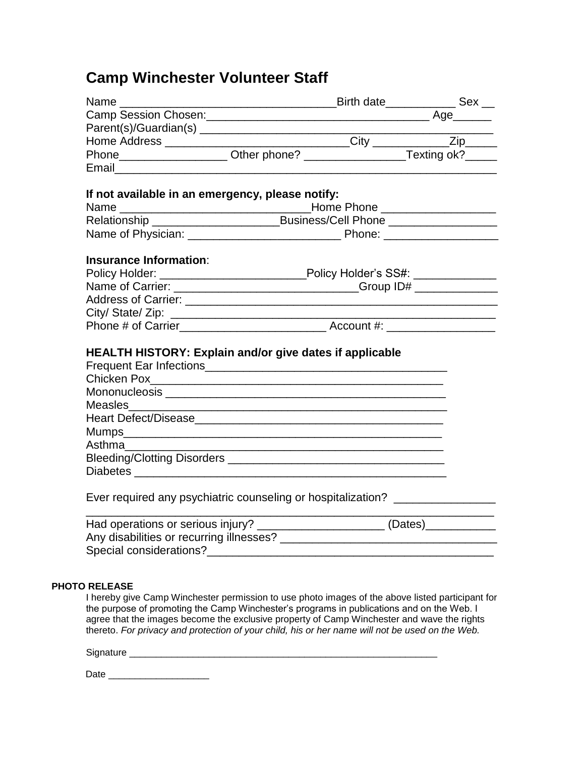# **Camp Winchester Volunteer Staff**

| Name $\_\_\_\_\_\_\_\$                                                           |  | _Birth date_______________Sex __ |
|----------------------------------------------------------------------------------|--|----------------------------------|
|                                                                                  |  |                                  |
|                                                                                  |  |                                  |
| Home Address ________________________________City ____________Zip_____           |  |                                  |
| Phone______________________Other phone? _______________________Texting ok?______ |  |                                  |
|                                                                                  |  |                                  |
|                                                                                  |  |                                  |
| If not available in an emergency, please notify:                                 |  |                                  |
|                                                                                  |  |                                  |
| Relationship _________________________________Business/Cell Phone ______________ |  |                                  |
|                                                                                  |  |                                  |
|                                                                                  |  |                                  |
| <b>Insurance Information:</b>                                                    |  |                                  |
| Policy Holder: _______________________________Policy Holder's SS#: _____________ |  |                                  |
| Name of Carrier: __________________________________Group ID# ___________________ |  |                                  |
|                                                                                  |  |                                  |
|                                                                                  |  |                                  |
|                                                                                  |  |                                  |
|                                                                                  |  |                                  |
| <b>HEALTH HISTORY: Explain and/or give dates if applicable</b>                   |  |                                  |
|                                                                                  |  |                                  |
|                                                                                  |  |                                  |
|                                                                                  |  |                                  |
| Measles                                                                          |  |                                  |
|                                                                                  |  |                                  |
|                                                                                  |  |                                  |
| Asthma                                                                           |  |                                  |
|                                                                                  |  |                                  |
|                                                                                  |  |                                  |
|                                                                                  |  |                                  |
| Ever required any psychiatric counseling or hospitalization? __________________  |  |                                  |
|                                                                                  |  |                                  |
| Had operations or serious injury? ______________________(Dates)_________________ |  |                                  |
|                                                                                  |  |                                  |
| Special considerations?<br>Special considerations?                               |  |                                  |
|                                                                                  |  |                                  |
|                                                                                  |  |                                  |

# **PHOTO RELEASE**

I hereby give Camp Winchester permission to use photo images of the above listed participant for the purpose of promoting the Camp Winchester's programs in publications and on the Web. I agree that the images become the exclusive property of Camp Winchester and wave the rights thereto. *For privacy and protection of your child, his or her name will not be used on the Web.*

Signature \_\_\_\_\_\_\_\_\_\_\_\_\_\_\_\_\_\_\_\_\_\_\_\_\_\_\_\_\_\_\_\_\_\_\_\_\_\_\_\_\_\_\_\_\_\_\_\_\_\_\_\_\_\_\_\_\_\_

Date \_\_\_\_\_\_\_\_\_\_\_\_\_\_\_\_\_\_\_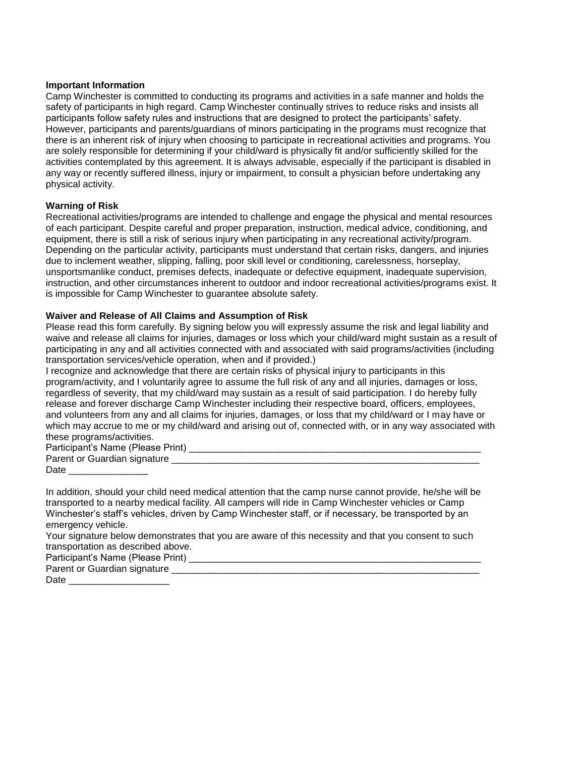#### **Important Information**

Camp Winchester is committed to conducting its programs and activities in a safe manner and holds the safety of participants in high regard. Camp Winchester continually strives to reduce risks and insists all participants follow safety rules and instructions that are designed to protect the participants' safety. However, participants and parents/guardians of minors participating in the programs must recognize that there is an inherent risk of injury when choosing to participate in recreational activities and programs. You are solely responsible for determining if your child/ward is physically fit and/or sufficiently skilled for the activities contemplated by this agreement. It is always advisable, especially if the participant is disabled in any way or recently suffered illness, injury or impairment, to consult a physician before undertaking any physical activity.

## **Warning of Risk**

Recreational activities/programs are intended to challenge and engage the physical and mental resources of each participant. Despite careful and proper preparation, instruction, medical advice, conditioning, and equipment, there is still a risk of serious injury when participating in any recreational activity/program. Depending on the particular activity, participants must understand that certain risks, dangers, and injuries due to inclement weather, slipping, falling, poor skill level or conditioning, carelessness, horseplay, unsportsmanlike conduct, premises defects, inadequate or defective equipment, inadequate supervision, instruction, and other circumstances inherent to outdoor and indoor recreational activities/programs exist. It is impossible for Camp Winchester to guarantee absolute safety.

#### **Waiver and Release of All Claims and Assumption of Risk**

Please read this form carefully. By signing below you will expressly assume the risk and legal liability and waive and release all claims for injuries, damages or loss which your child/ward might sustain as a result of participating in any and all activities connected with and associated with said programs/activities (including transportation services/vehicle operation, when and if provided.)

I recognize and acknowledge that there are certain risks of physical injury to participants in this program/activity, and I voluntarily agree to assume the full risk of any and all injuries, damages or loss, regardless of severity, that my child/ward may sustain as a result of said participation. I do hereby fully release and forever discharge Camp Winchester including their respective board, officers, employees, and volunteers from any and all claims for injuries, damages, or loss that my child/ward or I may have or which may accrue to me or my child/ward and arising out of, connected with, or in any way associated with these programs/activities.

Participant's Name (Please Print) \_\_\_\_\_\_\_\_\_\_\_\_\_\_\_\_\_\_\_\_\_\_\_\_\_\_\_\_\_\_\_\_\_\_\_\_\_\_\_\_\_\_\_\_\_\_\_\_\_\_\_\_\_\_\_ Parent or Guardian signature **Latitude and September 2018** Date  $\Box$ 

In addition, should your child need medical attention that the camp nurse cannot provide, he/she will be transported to a nearby medical facility. All campers will ride in Camp Winchester vehicles or Camp Winchester's staff's vehicles, driven by Camp Winchester staff, or if necessary, be transported by an emergency vehicle.

Your signature below demonstrates that you are aware of this necessity and that you consent to such transportation as described above.

Participant's Name (Please Print) \_\_\_\_\_\_\_\_\_\_\_\_\_\_\_\_\_\_\_\_\_\_\_\_\_\_\_\_\_\_\_\_\_\_\_\_\_\_\_\_\_\_\_\_\_\_\_\_\_\_\_\_\_\_\_

Parent or Guardian signature \_\_\_\_\_\_ Date  $\Box$